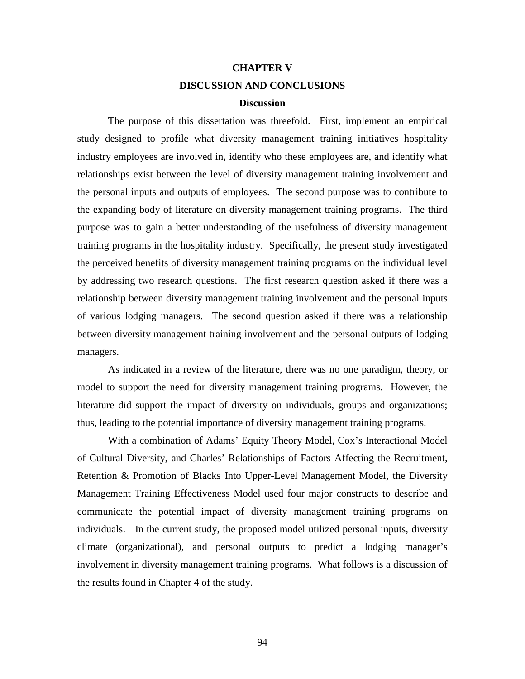# **CHAPTER V**

## **DISCUSSION AND CONCLUSIONS**

## **Discussion**

The purpose of this dissertation was threefold. First, implement an empirical study designed to profile what diversity management training initiatives hospitality industry employees are involved in, identify who these employees are, and identify what relationships exist between the level of diversity management training involvement and the personal inputs and outputs of employees. The second purpose was to contribute to the expanding body of literature on diversity management training programs. The third purpose was to gain a better understanding of the usefulness of diversity management training programs in the hospitality industry. Specifically, the present study investigated the perceived benefits of diversity management training programs on the individual level by addressing two research questions. The first research question asked if there was a relationship between diversity management training involvement and the personal inputs of various lodging managers. The second question asked if there was a relationship between diversity management training involvement and the personal outputs of lodging managers.

As indicated in a review of the literature, there was no one paradigm, theory, or model to support the need for diversity management training programs. However, the literature did support the impact of diversity on individuals, groups and organizations; thus, leading to the potential importance of diversity management training programs.

With a combination of Adams' Equity Theory Model, Cox's Interactional Model of Cultural Diversity, and Charles' Relationships of Factors Affecting the Recruitment, Retention & Promotion of Blacks Into Upper-Level Management Model, the Diversity Management Training Effectiveness Model used four major constructs to describe and communicate the potential impact of diversity management training programs on individuals. In the current study, the proposed model utilized personal inputs, diversity climate (organizational), and personal outputs to predict a lodging manager's involvement in diversity management training programs. What follows is a discussion of the results found in Chapter 4 of the study.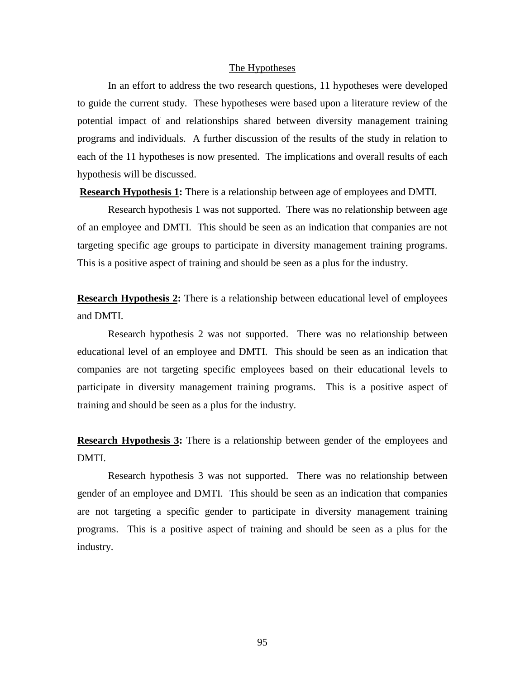#### The Hypotheses

In an effort to address the two research questions, 11 hypotheses were developed to guide the current study. These hypotheses were based upon a literature review of the potential impact of and relationships shared between diversity management training programs and individuals. A further discussion of the results of the study in relation to each of the 11 hypotheses is now presented. The implications and overall results of each hypothesis will be discussed.

**Research Hypothesis 1:** There is a relationship between age of employees and DMTI.

Research hypothesis 1 was not supported. There was no relationship between age of an employee and DMTI. This should be seen as an indication that companies are not targeting specific age groups to participate in diversity management training programs. This is a positive aspect of training and should be seen as a plus for the industry.

**Research Hypothesis 2:** There is a relationship between educational level of employees and DMTI.

Research hypothesis 2 was not supported. There was no relationship between educational level of an employee and DMTI. This should be seen as an indication that companies are not targeting specific employees based on their educational levels to participate in diversity management training programs. This is a positive aspect of training and should be seen as a plus for the industry.

**Research Hypothesis 3:** There is a relationship between gender of the employees and DMTI.

Research hypothesis 3 was not supported. There was no relationship between gender of an employee and DMTI. This should be seen as an indication that companies are not targeting a specific gender to participate in diversity management training programs. This is a positive aspect of training and should be seen as a plus for the industry.

95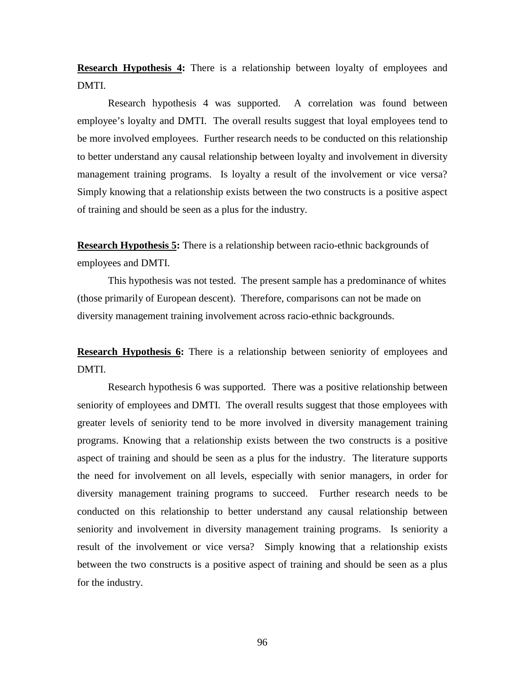**Research Hypothesis 4:** There is a relationship between loyalty of employees and DMTI.

Research hypothesis 4 was supported. A correlation was found between employee's loyalty and DMTI. The overall results suggest that loyal employees tend to be more involved employees. Further research needs to be conducted on this relationship to better understand any causal relationship between loyalty and involvement in diversity management training programs. Is loyalty a result of the involvement or vice versa? Simply knowing that a relationship exists between the two constructs is a positive aspect of training and should be seen as a plus for the industry.

**Research Hypothesis 5:** There is a relationship between racio-ethnic backgrounds of employees and DMTI.

This hypothesis was not tested. The present sample has a predominance of whites (those primarily of European descent). Therefore, comparisons can not be made on diversity management training involvement across racio-ethnic backgrounds.

**Research Hypothesis 6:** There is a relationship between seniority of employees and DMTI.

Research hypothesis 6 was supported. There was a positive relationship between seniority of employees and DMTI. The overall results suggest that those employees with greater levels of seniority tend to be more involved in diversity management training programs. Knowing that a relationship exists between the two constructs is a positive aspect of training and should be seen as a plus for the industry. The literature supports the need for involvement on all levels, especially with senior managers, in order for diversity management training programs to succeed. Further research needs to be conducted on this relationship to better understand any causal relationship between seniority and involvement in diversity management training programs. Is seniority a result of the involvement or vice versa? Simply knowing that a relationship exists between the two constructs is a positive aspect of training and should be seen as a plus for the industry.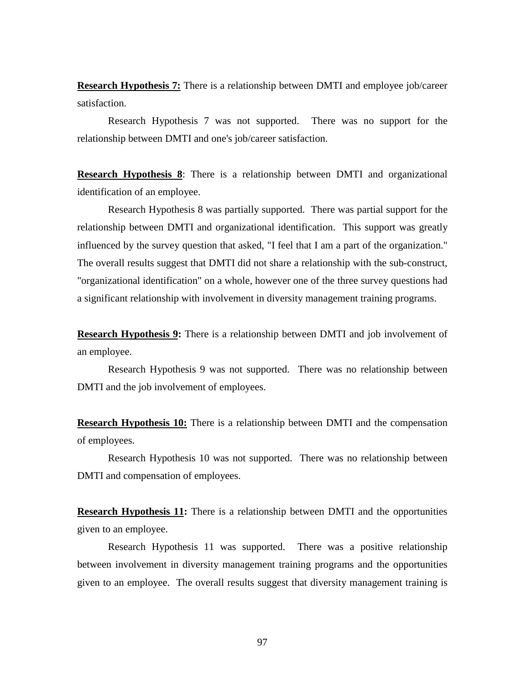**Research Hypothesis 7:** There is a relationship between DMTI and employee job/career satisfaction.

Research Hypothesis 7 was not supported. There was no support for the relationship between DMTI and one's job/career satisfaction.

**Research Hypothesis 8**: There is a relationship between DMTI and organizational identification of an employee.

Research Hypothesis 8 was partially supported. There was partial support for the relationship between DMTI and organizational identification. This support was greatly influenced by the survey question that asked, "I feel that I am a part of the organization." The overall results suggest that DMTI did not share a relationship with the sub-construct, "organizational identification" on a whole, however one of the three survey questions had a significant relationship with involvement in diversity management training programs.

**Research Hypothesis 9:** There is a relationship between DMTI and job involvement of an employee.

Research Hypothesis 9 was not supported. There was no relationship between DMTI and the job involvement of employees.

**Research Hypothesis 10:** There is a relationship between DMTI and the compensation of employees.

Research Hypothesis 10 was not supported. There was no relationship between DMTI and compensation of employees.

**Research Hypothesis 11:** There is a relationship between DMTI and the opportunities given to an employee.

Research Hypothesis 11 was supported. There was a positive relationship between involvement in diversity management training programs and the opportunities given to an employee. The overall results suggest that diversity management training is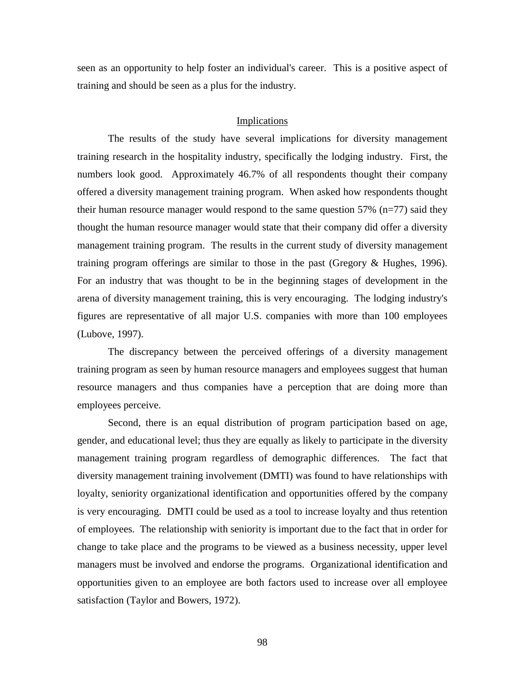seen as an opportunity to help foster an individual's career. This is a positive aspect of training and should be seen as a plus for the industry.

#### Implications

The results of the study have several implications for diversity management training research in the hospitality industry, specifically the lodging industry. First, the numbers look good. Approximately 46.7% of all respondents thought their company offered a diversity management training program. When asked how respondents thought their human resource manager would respond to the same question  $57\%$  (n=77) said they thought the human resource manager would state that their company did offer a diversity management training program. The results in the current study of diversity management training program offerings are similar to those in the past (Gregory & Hughes, 1996). For an industry that was thought to be in the beginning stages of development in the arena of diversity management training, this is very encouraging. The lodging industry's figures are representative of all major U.S. companies with more than 100 employees (Lubove, 1997).

The discrepancy between the perceived offerings of a diversity management training program as seen by human resource managers and employees suggest that human resource managers and thus companies have a perception that are doing more than employees perceive.

Second, there is an equal distribution of program participation based on age, gender, and educational level; thus they are equally as likely to participate in the diversity management training program regardless of demographic differences. The fact that diversity management training involvement (DMTI) was found to have relationships with loyalty, seniority organizational identification and opportunities offered by the company is very encouraging. DMTI could be used as a tool to increase loyalty and thus retention of employees. The relationship with seniority is important due to the fact that in order for change to take place and the programs to be viewed as a business necessity, upper level managers must be involved and endorse the programs. Organizational identification and opportunities given to an employee are both factors used to increase over all employee satisfaction (Taylor and Bowers, 1972).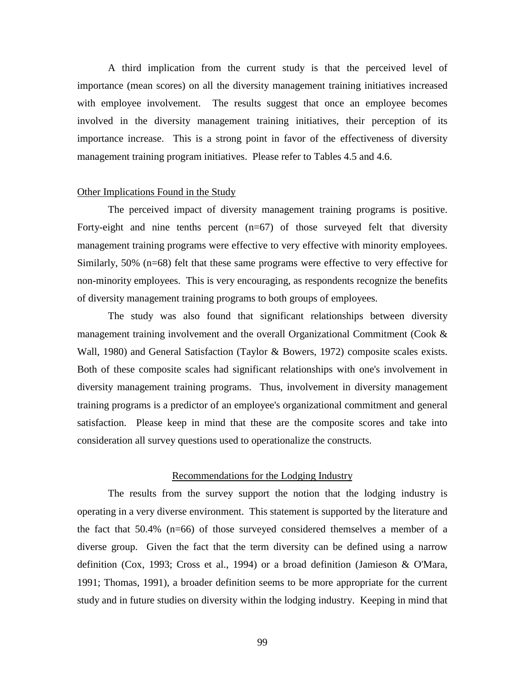A third implication from the current study is that the perceived level of importance (mean scores) on all the diversity management training initiatives increased with employee involvement. The results suggest that once an employee becomes involved in the diversity management training initiatives, their perception of its importance increase. This is a strong point in favor of the effectiveness of diversity management training program initiatives. Please refer to Tables 4.5 and 4.6.

#### Other Implications Found in the Study

The perceived impact of diversity management training programs is positive. Forty-eight and nine tenths percent  $(n=67)$  of those surveyed felt that diversity management training programs were effective to very effective with minority employees. Similarly, 50% (n=68) felt that these same programs were effective to very effective for non-minority employees. This is very encouraging, as respondents recognize the benefits of diversity management training programs to both groups of employees.

The study was also found that significant relationships between diversity management training involvement and the overall Organizational Commitment (Cook & Wall, 1980) and General Satisfaction (Taylor & Bowers, 1972) composite scales exists. Both of these composite scales had significant relationships with one's involvement in diversity management training programs. Thus, involvement in diversity management training programs is a predictor of an employee's organizational commitment and general satisfaction. Please keep in mind that these are the composite scores and take into consideration all survey questions used to operationalize the constructs.

## Recommendations for the Lodging Industry

The results from the survey support the notion that the lodging industry is operating in a very diverse environment. This statement is supported by the literature and the fact that 50.4% (n=66) of those surveyed considered themselves a member of a diverse group. Given the fact that the term diversity can be defined using a narrow definition (Cox, 1993; Cross et al., 1994) or a broad definition (Jamieson & O'Mara, 1991; Thomas, 1991), a broader definition seems to be more appropriate for the current study and in future studies on diversity within the lodging industry. Keeping in mind that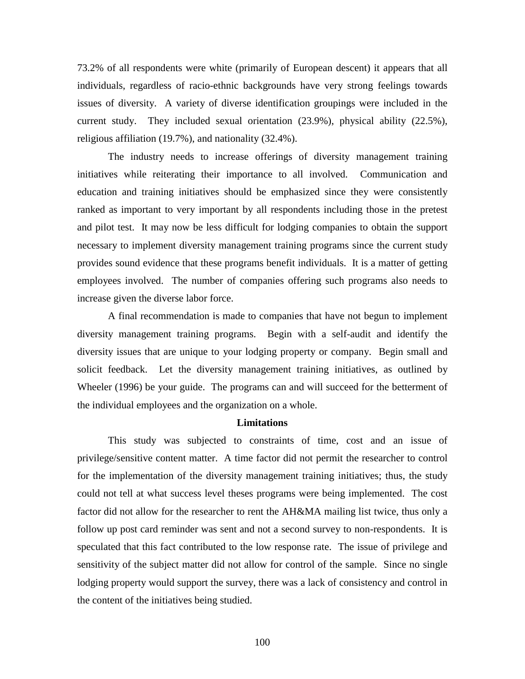73.2% of all respondents were white (primarily of European descent) it appears that all individuals, regardless of racio-ethnic backgrounds have very strong feelings towards issues of diversity. A variety of diverse identification groupings were included in the current study. They included sexual orientation (23.9%), physical ability (22.5%), religious affiliation (19.7%), and nationality (32.4%).

The industry needs to increase offerings of diversity management training initiatives while reiterating their importance to all involved. Communication and education and training initiatives should be emphasized since they were consistently ranked as important to very important by all respondents including those in the pretest and pilot test. It may now be less difficult for lodging companies to obtain the support necessary to implement diversity management training programs since the current study provides sound evidence that these programs benefit individuals. It is a matter of getting employees involved. The number of companies offering such programs also needs to increase given the diverse labor force.

A final recommendation is made to companies that have not begun to implement diversity management training programs. Begin with a self-audit and identify the diversity issues that are unique to your lodging property or company. Begin small and solicit feedback. Let the diversity management training initiatives, as outlined by Wheeler (1996) be your guide. The programs can and will succeed for the betterment of the individual employees and the organization on a whole.

#### **Limitations**

This study was subjected to constraints of time, cost and an issue of privilege/sensitive content matter. A time factor did not permit the researcher to control for the implementation of the diversity management training initiatives; thus, the study could not tell at what success level theses programs were being implemented. The cost factor did not allow for the researcher to rent the AH&MA mailing list twice, thus only a follow up post card reminder was sent and not a second survey to non-respondents. It is speculated that this fact contributed to the low response rate. The issue of privilege and sensitivity of the subject matter did not allow for control of the sample. Since no single lodging property would support the survey, there was a lack of consistency and control in the content of the initiatives being studied.